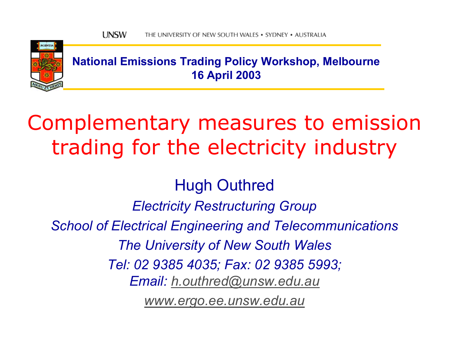

**National Emissions Trading Policy Workshop, Melbourne 16 April 2003**

# Complementary measures to emission trading for the electricity industry

Hugh Outhred *Electricity Restructuring Group School of Electrical Engineering and Telecommunications The University of New South Wales Tel: 02 9385 4035; Fax: 02 9385 5993; Email: [h.outhred@unsw.edu.au](mailto:h.outhred@unsw.edu.au) [www.ergo.ee.unsw.edu.au](http://www.ergo.ee.unsw.edu.au/)*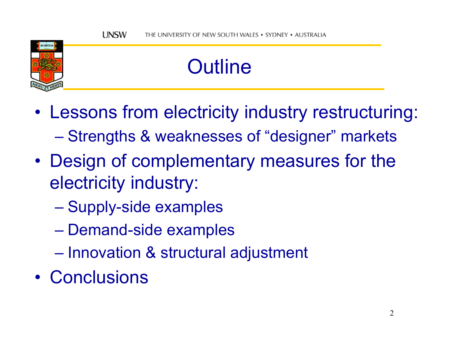

# **Outline**

- • Lessons from electricity industry restructuring: –Strengths & weaknesses of "designer" markets
- • Design of complementary measures for the electricity industry:
	- Supply-side examples
	- Demand-side examples
	- $\mathcal{L}_{\mathcal{A}}$  , and the set of the set of the set of the set of the set of the set of the set of the set of the set of the set of the set of the set of the set of the set of the set of the set of the set of the set of th  $-$  Innovation  $\&$  structural adjustment
- Conclusions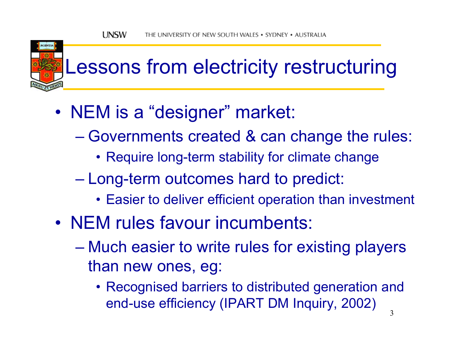

# Lessons from electricity restructuring

- • NEM is a "designer" market:
	- Governments created & can change the rules:
		- Require long-term stability for climate change
	- $\mathcal{L}_{\mathcal{A}}$  , and the set of the set of the set of the set of the set of the set of the set of the set of the set of the set of the set of the set of the set of the set of the set of the set of the set of the set of th Long-term outcomes hard to predict:
		- Easier to deliver efficient operation than investment
- NEM rules favour incumbents:
	- Much easier to write rules for existing players than new ones, eg:
		- Recognised barriers to distributed generation and end-use efficiency (IPART DM Inquiry, 2002)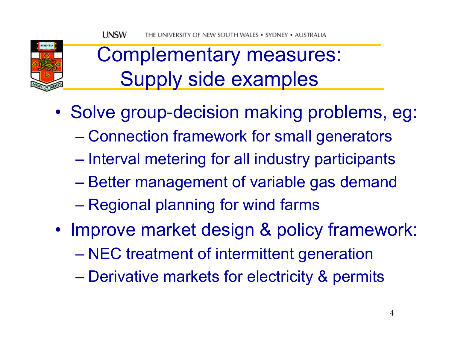

### Complementary measures: Supply side examples

- •• Solve group-decision making problems, eg:
	- Connection framework for small generators
	- $\mathcal{L}_{\mathcal{A}}$  , and the set of the set of the set of the set of the set of the set of the set of the set of the set of the set of the set of the set of the set of the set of the set of the set of the set of the set of th  $-$  Interval metering for all industry participants
	- Better management of variable gas demand
	- Regional planning for wind farms
- •• Improve market design & policy framework:
	- NEC treatment of intermittent generation
	- Derivative markets for electricity & permits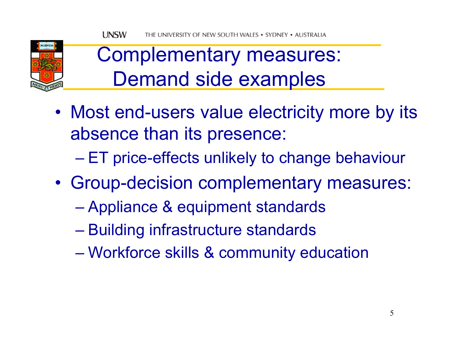

#### Complementary measures: Demand side examples

• Most end-users value electricity more by its absence than its presence:

– ET price-effects unlikely to change behaviour

- • Group-decision complementary measures:
	- Appliance & equipment standards
	- Building infrastructure standards
	- Workforce skills & community education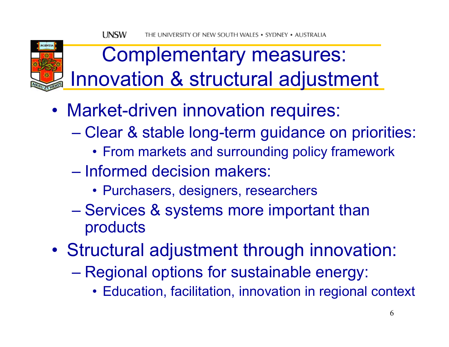

#### Complementary measures: Innovation & structural adjustment

- • Market-driven innovation requires:
	- Clear & stable long-term guidance on priorities:
		- From markets and surrounding policy framework
	- Informed decision makers:
		- Purchasers, designers, researchers
	- Services & systems more important than products
- • Structural adjustment through innovation:
	- Regional options for sustainable energy:
		- Education, facilitation, innovation in regional context